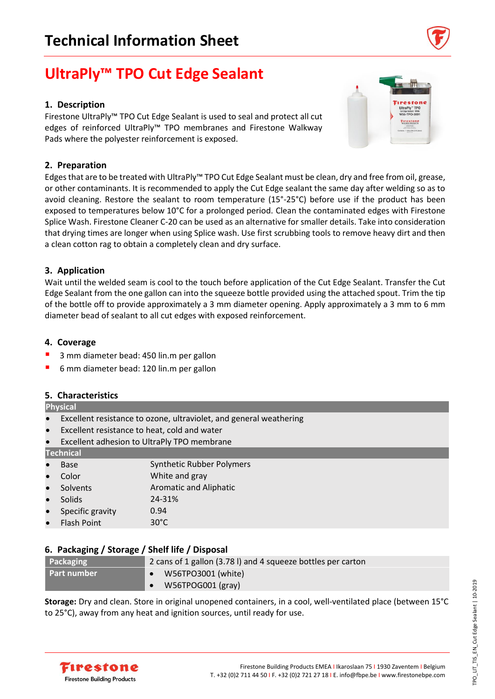# **UltraPly™ TPO Cut Edge Sealant**

## **1. Description**

Firestone UltraPly™ TPO Cut Edge Sealant is used to seal and protect all cut edges of reinforced UltraPly™ TPO membranes and Firestone Walkway Pads where the polyester reinforcement is exposed.

# **2. Preparation**

Edges that are to be treated with UltraPly™ TPO Cut Edge Sealant must be clean, dry and free from oil, grease, or other contaminants. It is recommended to apply the Cut Edge sealant the same day after welding so as to avoid cleaning. Restore the sealant to room temperature (15°-25°C) before use if the product has been exposed to temperatures below 10°C for a prolonged period. Clean the contaminated edges with Firestone Splice Wash. Firestone Cleaner C-20 can be used as an alternative for smaller details. Take into consideration that drying times are longer when using Splice wash. Use first scrubbing tools to remove heavy dirt and then a clean cotton rag to obtain a completely clean and dry surface.

# **3. Application**

Wait until the welded seam is cool to the touch before application of the Cut Edge Sealant. Transfer the Cut Edge Sealant from the one gallon can into the squeeze bottle provided using the attached spout. Trim the tip of the bottle off to provide approximately a 3 mm diameter opening. Apply approximately a 3 mm to 6 mm diameter bead of sealant to all cut edges with exposed reinforcement.

### **4. Coverage**

- 3 mm diameter bead: 450 lin.m per gallon
- 6 mm diameter bead: 120 lin.m per gallon

### **5. Characteristics**

#### **Physical**

- Excellent resistance to ozone, ultraviolet, and general weathering
- Excellent resistance to heat, cold and water
- Excellent adhesion to UltraPly TPO membrane

#### **Technical**

**Base Synthetic Rubber Polymers** • Color White and gray **Solvents Aromatic and Aliphatic** • Solids 24-31% • Specific gravity 0.94 • Flash Point 30°C

### **6. Packaging / Storage / Shelf life / Disposal**

| Packaging          | 2 cans of 1 gallon (3.78 l) and 4 squeeze bottles per carton |
|--------------------|--------------------------------------------------------------|
| <b>Part number</b> | W56TPO3001 (white)                                           |
|                    | W56TPOG001 (gray)                                            |
|                    |                                                              |

**Storage:** Dry and clean. Store in original unopened containers, in a cool, well-ventilated place (between 15°C to 25°C), away from any heat and ignition sources, until ready for use.